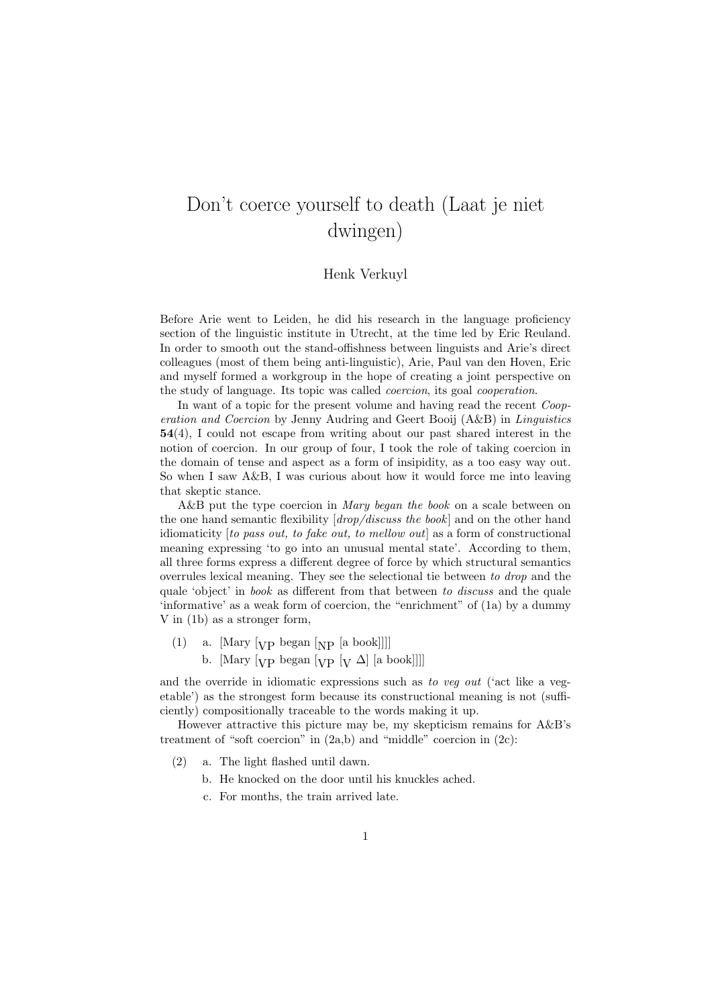## Don't coerce yourself to death (Laat je niet dwingen)

## Henk Verkuyl

Before Arie went to Leiden, he did his research in the language proficiency section of the linguistic institute in Utrecht, at the time led by Eric Reuland. In order to smooth out the stand-offishness between linguists and Arie's direct colleagues (most of them being anti-linguistic), Arie, Paul van den Hoven, Eric and myself formed a workgroup in the hope of creating a joint perspective on the study of language. Its topic was called coercion, its goal cooperation.

In want of a topic for the present volume and having read the recent Cooperation and Coercion by Jenny Audring and Geert Booij (A&B) in Linguistics 54(4), I could not escape from writing about our past shared interest in the notion of coercion. In our group of four, I took the role of taking coercion in the domain of tense and aspect as a form of insipidity, as a too easy way out. So when I saw A&B, I was curious about how it would force me into leaving that skeptic stance.

A&B put the type coercion in Mary began the book on a scale between on the one hand semantic flexibility  $(drop/discuss the book)$  and on the other hand idiomaticity [to pass out, to fake out, to mellow out] as a form of constructional meaning expressing 'to go into an unusual mental state'. According to them, all three forms express a different degree of force by which structural semantics overrules lexical meaning. They see the selectional tie between to drop and the quale 'object' in book as different from that between to discuss and the quale 'informative' as a weak form of coercion, the "enrichment" of (1a) by a dummy V in (1b) as a stronger form,

- (1) a. [Mary  $[\text{VP}$  began  $[\text{NP}$  [a book]]]]
	- b. [Mary  $[\text{VP}$  began  $[\text{VP}$   $[\text{V} \Delta]$  [a book]]]]

and the override in idiomatic expressions such as to veg out ('act like a vegetable') as the strongest form because its constructional meaning is not (sufficiently) compositionally traceable to the words making it up.

However attractive this picture may be, my skepticism remains for A&B's treatment of "soft coercion" in (2a,b) and "middle" coercion in (2c):

- (2) a. The light flashed until dawn.
	- b. He knocked on the door until his knuckles ached.
	- c. For months, the train arrived late.